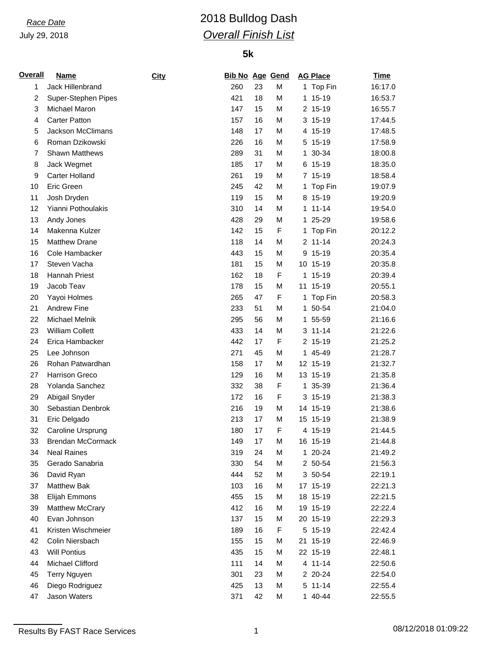# *Race Date* 2018 Bulldog Dash *Overall Finish List*

| <u>Overall</u> | <b>Name</b>            | City | <b>Bib No Age Gend</b> |    |             |    | <b>AG Place</b> | <b>Time</b> |
|----------------|------------------------|------|------------------------|----|-------------|----|-----------------|-------------|
| 1              | Jack Hillenbrand       |      | 260                    | 23 | M           |    | 1 Top Fin       | 16:17.0     |
| $\overline{c}$ | Super-Stephen Pipes    |      | 421                    | 18 | M           |    | 1 15-19         | 16:53.7     |
| 3              | Michael Maron          |      | 147                    | 15 | M           |    | 2 15-19         | 16:55.7     |
| 4              | <b>Carter Patton</b>   |      | 157                    | 16 | M           |    | $3, 15-19$      | 17:44.5     |
| 5              | Jackson McClimans      |      | 148                    | 17 | M           |    | 4 15-19         | 17:48.5     |
| 6              | Roman Dzikowski        |      | 226                    | 16 | M           |    | 5 15-19         | 17:58.9     |
| $\overline{7}$ | <b>Shawn Matthews</b>  |      | 289                    | 31 | M           | 1  | 30-34           | 18:00.8     |
| 8              | Jack Wegmet            |      | 185                    | 17 | M           |    | 6 15-19         | 18:35.0     |
| 9              | Carter Holland         |      | 261                    | 19 | M           |    | 7 15-19         | 18:58.4     |
| 10             | Eric Green             |      | 245                    | 42 | M           |    | 1 Top Fin       | 19:07.9     |
| 11             | Josh Dryden            |      | 119                    | 15 | M           |    | 8 15-19         | 19:20.9     |
| 12             | Yianni Pothoulakis     |      | 310                    | 14 | M           |    | $1 11 - 14$     | 19:54.0     |
| 13             | Andy Jones             |      | 428                    | 29 | M           | 1. | 25-29           | 19:58.6     |
| 14             | Makenna Kulzer         |      | 142                    | 15 | F           | 1. | Top Fin         | 20:12.2     |
| 15             | <b>Matthew Drane</b>   |      | 118                    | 14 | M           |    | $2 11 - 14$     | 20:24.3     |
| 16             | Cole Hambacker         |      | 443                    | 15 | M           |    | 9 15-19         | 20:35.4     |
| 17             | Steven Vacha           |      | 181                    | 15 | M           |    | 10 15-19        | 20:35.8     |
| 18             | Hannah Priest          |      | 162                    | 18 | F           |    | 1 15-19         | 20:39.4     |
| 19             | Jacob Teav             |      | 178                    | 15 | M           |    | 11 15-19        | 20:55.1     |
| 20             | Yayoi Holmes           |      | 265                    | 47 | F           | 1  | Top Fin         | 20:58.3     |
| 21             | <b>Andrew Fine</b>     |      | 233                    | 51 | M           | 1. | 50-54           | 21:04.0     |
| 22             | Michael Melnik         |      | 295                    | 56 | M           |    | 1 55-59         | 21:16.6     |
| 23             | <b>William Collett</b> |      | 433                    | 14 | M           |    | $3 11 - 14$     | 21:22.6     |
| 24             | Erica Hambacker        |      | 442                    | 17 | $\mathsf F$ |    | 2 15-19         | 21:25.2     |
| 25             | Lee Johnson            |      | 271                    | 45 | M           |    | 1 45-49         | 21:28.7     |
| 26             | Rohan Patwardhan       |      | 158                    | 17 | M           |    | 12 15-19        | 21:32.7     |
| 27             | Harrison Greco         |      | 129                    | 16 | M           |    | 13 15-19        | 21:35.8     |
| 28             | Yolanda Sanchez        |      | 332                    | 38 | F           |    | 1 35-39         | 21:36.4     |
| 29             | Abigail Snyder         |      | 172                    | 16 | F           |    | $3, 15-19$      | 21:38.3     |
| 30             | Sebastian Denbrok      |      | 216                    | 19 | M           |    | 14 15-19        | 21:38.6     |
| 31             | Eric Delgado           |      | 213                    | 17 | M           |    | 15 15-19        | 21:38.9     |
| 32             | Caroline Ursprung      |      | 180                    | 17 | F           |    | 4 15-19         | 21:44.5     |
| 33             | Brendan McCormack      |      | 149                    | 17 | M           |    | 16 15-19        | 21:44.8     |
| 34             | <b>Neal Raines</b>     |      | 319                    | 24 | M           |    | 1 20-24         | 21:49.2     |
| 35             | Gerado Sanabria        |      | 330                    | 54 | M           |    | 2 50-54         | 21:56.3     |
| 36             | David Ryan             |      | 444                    | 52 | M           |    | 3 50-54         | 22:19.1     |
| 37             | Matthew Bak            |      | 103                    | 16 | M           |    | 17 15-19        | 22:21.3     |
| 38             | Elijah Emmons          |      | 455                    | 15 | M           |    | 18 15-19        | 22:21.5     |
| 39             | Matthew McCrary        |      | 412                    | 16 | M           |    | 19 15-19        | 22:22.4     |
| 40             | Evan Johnson           |      | 137                    | 15 | M           |    | 20 15-19        | 22:29.3     |
| 41             | Kristen Wischmeier     |      | 189                    | 16 | F           |    | 5 15-19         | 22:42.4     |
| 42             | Colin Niersbach        |      | 155                    | 15 | M           |    | 21 15-19        | 22:46.9     |
| 43             | <b>Will Pontius</b>    |      | 435                    | 15 | M           |    | 22 15-19        | 22:48.1     |
| 44             | Michael Clifford       |      | 111                    | 14 | M           |    | 4 11-14         | 22:50.6     |
| 45             | <b>Terry Nguyen</b>    |      | 301                    | 23 | M           |    | 2 20-24         | 22:54.0     |
| 46             | Diego Rodriguez        |      | 425                    | 13 | M           |    | 5 11-14         | 22:55.4     |
| 47             | Jason Waters           |      | 371                    | 42 | M           |    | 1 40-44         | 22:55.5     |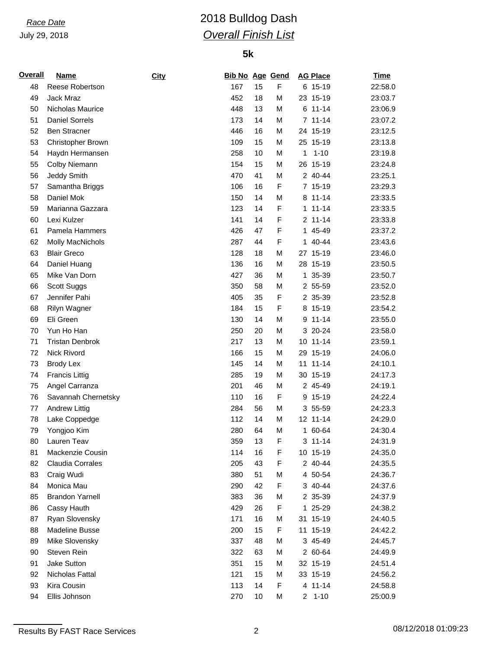# *Race Date* 2018 Bulldog Dash *Overall Finish List*

| <b>Overall</b> | <b>Name</b>            | City | <b>Bib No Age Gend</b> |    |             |    | <b>AG Place</b> | <b>Time</b> |
|----------------|------------------------|------|------------------------|----|-------------|----|-----------------|-------------|
| 48             | Reese Robertson        |      | 167                    | 15 | $\mathsf F$ |    | 6 15-19         | 22:58.0     |
| 49             | Jack Mraz              |      | 452                    | 18 | M           |    | 23 15-19        | 23:03.7     |
| 50             | Nicholas Maurice       |      | 448                    | 13 | M           |    | $6 11 - 14$     | 23:06.9     |
| 51             | <b>Daniel Sorrels</b>  |      | 173                    | 14 | M           |    | $7 11 - 14$     | 23:07.2     |
| 52             | <b>Ben Stracner</b>    |      | 446                    | 16 | M           |    | 24 15-19        | 23:12.5     |
| 53             | Christopher Brown      |      | 109                    | 15 | M           |    | 25 15-19        | 23:13.8     |
| 54             | Haydn Hermansen        |      | 258                    | 10 | M           | 1  | $1 - 10$        | 23:19.8     |
| 55             | Colby Niemann          |      | 154                    | 15 | M           |    | 26 15-19        | 23:24.8     |
| 56             | Jeddy Smith            |      | 470                    | 41 | M           |    | 2 40-44         | 23:25.1     |
| 57             | Samantha Briggs        |      | 106                    | 16 | F           |    | 7 15-19         | 23:29.3     |
| 58             | Daniel Mok             |      | 150                    | 14 | M           |    | 8 11-14         | 23:33.5     |
| 59             | Marianna Gazzara       |      | 123                    | 14 | F           | 1  | $11 - 14$       | 23:33.5     |
| 60             | Lexi Kulzer            |      | 141                    | 14 | F           |    | $2 11 - 14$     | 23:33.8     |
| 61             | Pamela Hammers         |      | 426                    | 47 | F           | 1. | 45-49           | 23:37.2     |
| 62             | Molly MacNichols       |      | 287                    | 44 | F           | 1. | 40-44           | 23:43.6     |
| 63             | <b>Blair Greco</b>     |      | 128                    | 18 | M           |    | 27 15-19        | 23:46.0     |
| 64             | Daniel Huang           |      | 136                    | 16 | M           |    | 28 15-19        | 23:50.5     |
| 65             | Mike Van Dorn          |      | 427                    | 36 | M           |    | 1 35-39         | 23:50.7     |
| 66             | Scott Suggs            |      | 350                    | 58 | M           |    | 2 55-59         | 23:52.0     |
| 67             | Jennifer Pahi          |      | 405                    | 35 | F           |    | 2 35-39         | 23:52.8     |
| 68             | Rilyn Wagner           |      | 184                    | 15 | F           |    | 8 15-19         | 23:54.2     |
| 69             | Eli Green              |      | 130                    | 14 | M           | 9  | $11 - 14$       | 23:55.0     |
| 70             | Yun Ho Han             |      | 250                    | 20 | M           |    | 3 20-24         | 23:58.0     |
| 71             | <b>Tristan Denbrok</b> |      | 217                    | 13 | M           |    | 10 11-14        | 23:59.1     |
| 72             | Nick Rivord            |      | 166                    | 15 | M           |    | 29 15-19        | 24:06.0     |
| 73             | <b>Brody Lex</b>       |      | 145                    | 14 | M           |    | 11 11-14        | 24:10.1     |
| 74             | <b>Francis Littig</b>  |      | 285                    | 19 | M           |    | 30 15-19        | 24:17.3     |
| 75             | Angel Carranza         |      | 201                    | 46 | M           |    | 2 45-49         | 24:19.1     |
| 76             | Savannah Chernetsky    |      | 110                    | 16 | $\mathsf F$ |    | 9 15-19         | 24:22.4     |
| 77             | <b>Andrew Littig</b>   |      | 284                    | 56 | M           |    | 3 55-59         | 24:23.3     |
| 78             | Lake Coppedge          |      | 112                    | 14 | M           |    | 12 11-14        | 24:29.0     |
| 79             | Yongjoo Kim            |      | 280                    | 64 | M           |    | 1 60-64         | 24:30.4     |
| 80             | Lauren Teav            |      | 359                    | 13 | F           |    | $3 11 - 14$     | 24:31.9     |
| 81             | Mackenzie Cousin       |      | 114                    | 16 | F           |    | 10 15-19        | 24:35.0     |
| 82             | Claudia Corrales       |      | 205                    | 43 | F           |    | 2 40-44         | 24:35.5     |
| 83             | Craig Wudi             |      | 380                    | 51 | М           |    | 4 50-54         | 24:36.7     |
| 84             | Monica Mau             |      | 290                    | 42 | F           |    | 3 40-44         | 24:37.6     |
| 85             | <b>Brandon Yarnell</b> |      | 383                    | 36 | М           |    | 2 35-39         | 24:37.9     |
| 86             | Cassy Hauth            |      | 429                    | 26 | F           |    | 1 25-29         | 24:38.2     |
| 87             | Ryan Slovensky         |      | 171                    | 16 | М           |    | 31 15-19        | 24:40.5     |
| 88             | <b>Madeline Busse</b>  |      | 200                    | 15 | F           |    | 11 15-19        | 24:42.2     |
| 89             | Mike Slovensky         |      | 337                    | 48 | М           |    | 3 45-49         | 24:45.7     |
| 90             | Steven Rein            |      | 322                    | 63 | M           |    | 2 60-64         | 24:49.9     |
| 91             | Jake Sutton            |      | 351                    | 15 | M           |    | 32 15-19        | 24:51.4     |
| 92             | Nicholas Fattal        |      | 121                    | 15 | М           |    | 33 15-19        | 24:56.2     |
| 93             | Kira Cousin            |      | 113                    | 14 | F           |    | 4 11-14         | 24:58.8     |
| 94             | Ellis Johnson          |      | 270                    | 10 | M           |    | $2 1 - 10$      | 25:00.9     |
|                |                        |      |                        |    |             |    |                 |             |

Results By FAST Race Services 2 2 08/12/2018 01:09:23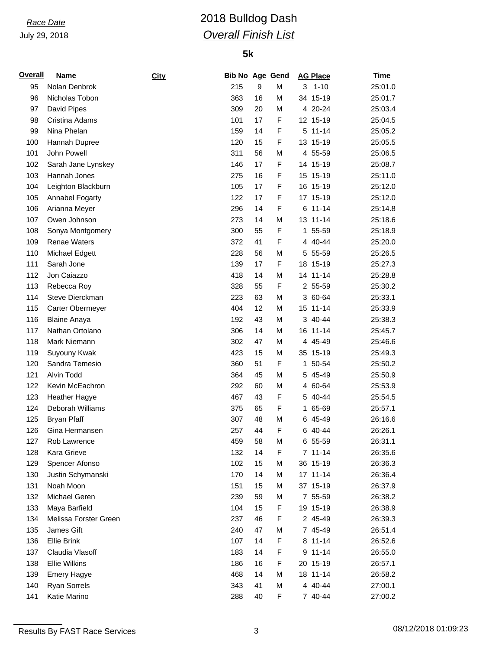# *Race Date* 2018 Bulldog Dash *Overall Finish List*

| <b>Overall</b> | <b>Name</b>           | City | <b>Bib No Age Gend</b> |    |   | <b>AG Place</b> | <b>Time</b> |
|----------------|-----------------------|------|------------------------|----|---|-----------------|-------------|
| 95             | Nolan Denbrok         |      | 215                    | 9  | M | 3<br>$1 - 10$   | 25:01.0     |
| 96             | Nicholas Tobon        |      | 363                    | 16 | M | 34 15-19        | 25:01.7     |
| 97             | David Pipes           |      | 309                    | 20 | M | 4 20-24         | 25:03.4     |
| 98             | Cristina Adams        |      | 101                    | 17 | F | 12 15-19        | 25:04.5     |
| 99             | Nina Phelan           |      | 159                    | 14 | F | 5 11-14         | 25:05.2     |
| 100            | Hannah Dupree         |      | 120                    | 15 | F | 13 15-19        | 25:05.5     |
| 101            | John Powell           |      | 311                    | 56 | M | 4 55-59         | 25:06.5     |
| 102            | Sarah Jane Lynskey    |      | 146                    | 17 | F | 14 15-19        | 25:08.7     |
| 103            | Hannah Jones          |      | 275                    | 16 | F | 15 15-19        | 25:11.0     |
| 104            | Leighton Blackburn    |      | 105                    | 17 | F | 16 15-19        | 25:12.0     |
| 105            | Annabel Fogarty       |      | 122                    | 17 | F | 17 15-19        | 25:12.0     |
| 106            | Arianna Meyer         |      | 296                    | 14 | F | $6 11 - 14$     | 25:14.8     |
| 107            | Owen Johnson          |      | 273                    | 14 | M | 13 11-14        | 25:18.6     |
| 108            | Sonya Montgomery      |      | 300                    | 55 | F | 55-59<br>1.     | 25:18.9     |
| 109            | <b>Renae Waters</b>   |      | 372                    | 41 | F | 4 40-44         | 25:20.0     |
| 110            | Michael Edgett        |      | 228                    | 56 | M | 5 55-59         | 25:26.5     |
| 111            | Sarah Jone            |      | 139                    | 17 | F | 18 15-19        | 25:27.3     |
| 112            | Jon Caiazzo           |      | 418                    | 14 | M | 14 11-14        | 25:28.8     |
| 113            | Rebecca Roy           |      | 328                    | 55 | F | 2 55-59         | 25:30.2     |
| 114            | Steve Dierckman       |      | 223                    | 63 | M | 3 60-64         | 25:33.1     |
| 115            | Carter Obermeyer      |      | 404                    | 12 | M | 15 11-14        | 25:33.9     |
| 116            | <b>Blaine Anaya</b>   |      | 192                    | 43 | M | 3 40-44         | 25:38.3     |
| 117            | Nathan Ortolano       |      | 306                    | 14 | M | 16 11-14        | 25:45.7     |
| 118            | Mark Niemann          |      | 302                    | 47 | M | 4 45-49         | 25:46.6     |
| 119            | Suyouny Kwak          |      | 423                    | 15 | M | 35 15-19        | 25:49.3     |
| 120            | Sandra Temesio        |      | 360                    | 51 | F | 1 50-54         | 25:50.2     |
| 121            | Alvin Todd            |      | 364                    | 45 | M | 5 45-49         | 25:50.9     |
| 122            | Kevin McEachron       |      | 292                    | 60 | M | 4 60-64         | 25:53.9     |
| 123            | <b>Heather Hagye</b>  |      | 467                    | 43 | F | 40-44<br>5      | 25:54.5     |
| 124            | Deborah Williams      |      | 375                    | 65 | F | 65-69<br>1.     | 25:57.1     |
| 125            | <b>Bryan Pfaff</b>    |      | 307                    | 48 | M | 6 45-49         | 26:16.6     |
| 126            | Gina Hermansen        |      | 257                    | 44 | F | 6 40-44         | 26:26.1     |
| 127            | Rob Lawrence          |      | 459                    | 58 | M | 6 55-59         | 26:31.1     |
| 128            | Kara Grieve           |      | 132                    | 14 | F | $7 11 - 14$     | 26:35.6     |
| 129            | Spencer Afonso        |      | 102                    | 15 | M | 36 15-19        | 26:36.3     |
| 130            | Justin Schymanski     |      | 170                    | 14 | M | 17 11-14        | 26:36.4     |
| 131            | Noah Moon             |      | 151                    | 15 | M | 37 15-19        | 26:37.9     |
| 132            | Michael Geren         |      | 239                    | 59 | M | 7 55-59         | 26:38.2     |
| 133            | Maya Barfield         |      | 104                    | 15 | F | 19 15-19        | 26:38.9     |
| 134            | Melissa Forster Green |      | 237                    | 46 | F | 2 45-49         | 26:39.3     |
| 135            | James Gift            |      | 240                    | 47 | M | 7 45-49         | 26:51.4     |
| 136            | <b>Ellie Brink</b>    |      | 107                    | 14 | F | 8 11-14         | 26:52.6     |
| 137            | Claudia Vlasoff       |      | 183                    | 14 | F | $11 - 14$<br>9  | 26:55.0     |
| 138            | <b>Ellie Wilkins</b>  |      | 186                    | 16 | F | 20 15-19        | 26:57.1     |
| 139            | <b>Emery Hagye</b>    |      | 468                    | 14 | M | 18 11-14        | 26:58.2     |
| 140            | Ryan Sorrels          |      | 343                    | 41 | M | 4 40-44         | 27:00.1     |
| 141            | Katie Marino          |      | 288                    | 40 | F | 7 40-44         | 27:00.2     |
|                |                       |      |                        |    |   |                 |             |

Results By FAST Race Services 23 3 08/12/2018 01:09:23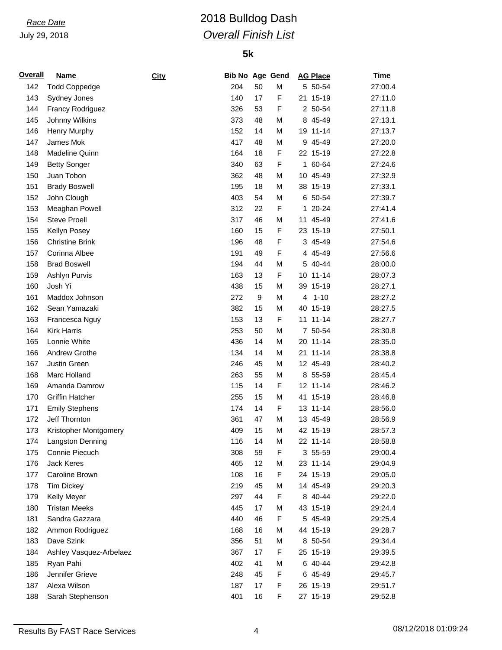# *Race Date* 2018 Bulldog Dash *Overall Finish List*

| <b>Overall</b> | <b>Name</b>             | <b>City</b> | <b>Bib No Age Gend</b> |    |   |    | <b>AG Place</b> | <u>Time</u> |
|----------------|-------------------------|-------------|------------------------|----|---|----|-----------------|-------------|
| 142            | <b>Todd Coppedge</b>    |             | 204                    | 50 | M |    | 5 50-54         | 27:00.4     |
| 143            | Sydney Jones            |             | 140                    | 17 | F |    | 21 15-19        | 27:11.0     |
| 144            | <b>Francy Rodriguez</b> |             | 326                    | 53 | F |    | 2 50-54         | 27:11.8     |
| 145            | Johnny Wilkins          |             | 373                    | 48 | M | 8  | 45-49           | 27:13.1     |
| 146            | Henry Murphy            |             | 152                    | 14 | M |    | 19 11-14        | 27:13.7     |
| 147            | James Mok               |             | 417                    | 48 | M | 9  | 45-49           | 27:20.0     |
| 148            | Madeline Quinn          |             | 164                    | 18 | F |    | 22 15-19        | 27:22.8     |
| 149            | <b>Betty Songer</b>     |             | 340                    | 63 | F |    | 1 60-64         | 27:24.6     |
| 150            | Juan Tobon              |             | 362                    | 48 | M |    | 10 45-49        | 27:32.9     |
| 151            | <b>Brady Boswell</b>    |             | 195                    | 18 | M |    | 38 15-19        | 27:33.1     |
| 152            | John Clough             |             | 403                    | 54 | M |    | 6 50-54         | 27:39.7     |
| 153            | Meaghan Powell          |             | 312                    | 22 | F | 1. | $20 - 24$       | 27:41.4     |
| 154            | <b>Steve Proell</b>     |             | 317                    | 46 | M | 11 | 45-49           | 27:41.6     |
| 155            | Kellyn Posey            |             | 160                    | 15 | F |    | 23 15-19        | 27:50.1     |
| 156            | <b>Christine Brink</b>  |             | 196                    | 48 | F | 3  | 45-49           | 27:54.6     |
| 157            | Corinna Albee           |             | 191                    | 49 | F | 4  | 45-49           | 27:56.6     |
| 158            | <b>Brad Boswell</b>     |             | 194                    | 44 | M |    | 5 40-44         | 28:00.0     |
| 159            | Ashlyn Purvis           |             | 163                    | 13 | F |    | 10 11-14        | 28:07.3     |
| 160            | Josh Yi                 |             | 438                    | 15 | M |    | 39 15-19        | 28:27.1     |
| 161            | Maddox Johnson          |             | 272                    | 9  | M | 4  | $1 - 10$        | 28:27.2     |
| 162            | Sean Yamazaki           |             | 382                    | 15 | M |    | 40 15-19        | 28:27.5     |
| 163            | Francesca Nguy          |             | 153                    | 13 | F | 11 | $11 - 14$       | 28:27.7     |
| 164            | <b>Kirk Harris</b>      |             | 253                    | 50 | M |    | 7 50-54         | 28:30.8     |
| 165            | Lonnie White            |             | 436                    | 14 | M |    | 20 11-14        | 28:35.0     |
| 166            | Andrew Grothe           |             | 134                    | 14 | M | 21 | $11 - 14$       | 28:38.8     |
| 167            | Justin Green            |             | 246                    | 45 | M |    | 12 45-49        | 28:40.2     |
| 168            | Marc Holland            |             | 263                    | 55 | M |    | 8 55-59         | 28:45.4     |
| 169            | Amanda Damrow           |             | 115                    | 14 | F |    | 12 11-14        | 28:46.2     |
| 170            | <b>Griffin Hatcher</b>  |             | 255                    | 15 | M | 41 | $15-19$         | 28:46.8     |
| 171            | <b>Emily Stephens</b>   |             | 174                    | 14 | F |    | 13 11-14        | 28:56.0     |
| 172            | Jeff Thornton           |             | 361                    | 47 | M |    | 13 45-49        | 28:56.9     |
| 173            | Kristopher Montgomery   |             | 409                    | 15 | M |    | 42 15-19        | 28:57.3     |
| 174            | Langston Denning        |             | 116                    | 14 | M |    | 22 11-14        | 28:58.8     |
| 175            | Connie Piecuch          |             | 308                    | 59 | F |    | 3 55-59         | 29:00.4     |
| 176            | <b>Jack Keres</b>       |             | 465                    | 12 | M |    | 23 11-14        | 29:04.9     |
| 177            | Caroline Brown          |             | 108                    | 16 | F |    | 24 15-19        | 29:05.0     |
| 178            | <b>Tim Dickey</b>       |             | 219                    | 45 | M |    | 14 45-49        | 29:20.3     |
| 179            | Kelly Meyer             |             | 297                    | 44 | F |    | 8 40-44         | 29:22.0     |
| 180            | <b>Tristan Meeks</b>    |             | 445                    | 17 | M |    | 43 15-19        | 29:24.4     |
| 181            | Sandra Gazzara          |             | 440                    | 46 | F |    | 5 45-49         | 29:25.4     |
| 182            | Ammon Rodriguez         |             | 168                    | 16 | M |    | 44 15-19        | 29:28.7     |
| 183            | Dave Szink              |             | 356                    | 51 | M |    | 8 50-54         | 29:34.4     |
| 184            | Ashley Vasquez-Arbelaez |             | 367                    | 17 | F |    | 25 15-19        | 29:39.5     |
| 185            | Ryan Pahi               |             | 402                    | 41 | M |    | 6 40-44         | 29:42.8     |
| 186            | Jennifer Grieve         |             | 248                    | 45 | F |    | 6 45-49         | 29:45.7     |
| 187            | Alexa Wilson            |             | 187                    | 17 | F |    | 26 15-19        | 29:51.7     |
| 188            | Sarah Stephenson        |             | 401                    | 16 | F |    | 27 15-19        | 29:52.8     |
|                |                         |             |                        |    |   |    |                 |             |

Results By FAST Race Services 24 08/12/2018 01:09:24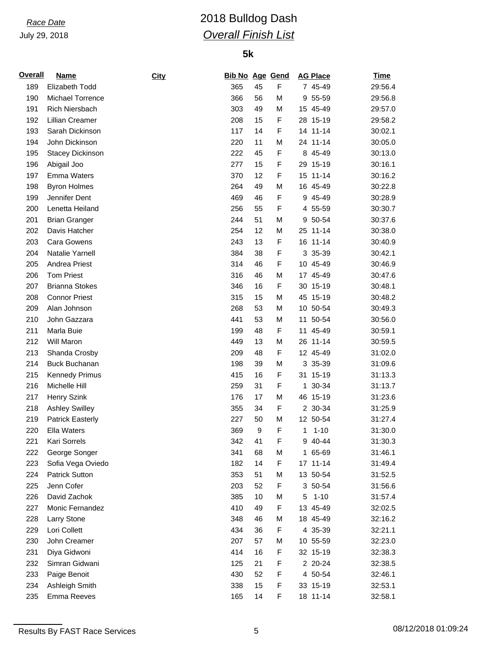# *Race Date* 2018 Bulldog Dash *Overall Finish List*

## **5k**

| <b>Overall</b> | <b>Name</b>             | <b>City</b> | <b>Bib No Age Gend</b> |                  |             |              | <b>AG Place</b> | <b>Time</b> |
|----------------|-------------------------|-------------|------------------------|------------------|-------------|--------------|-----------------|-------------|
| 189            | Elizabeth Todd          |             | 365                    | 45               | F           |              | 7 45-49         | 29:56.4     |
| 190            | Michael Torrence        |             | 366                    | 56               | M           |              | 9 55-59         | 29:56.8     |
| 191            | <b>Rich Niersbach</b>   |             | 303                    | 49               | M           |              | 15 45-49        | 29:57.0     |
| 192            | Lillian Creamer         |             | 208                    | 15               | $\mathsf F$ |              | 28 15-19        | 29:58.2     |
| 193            | Sarah Dickinson         |             | 117                    | 14               | F           |              | 14 11-14        | 30:02.1     |
| 194            | John Dickinson          |             | 220                    | 11               | M           |              | 24 11-14        | 30:05.0     |
| 195            | <b>Stacey Dickinson</b> |             | 222                    | 45               | F           |              | 8 45-49         | 30:13.0     |
| 196            | Abigail Joo             |             | 277                    | 15               | F           |              | 29 15-19        | 30:16.1     |
| 197            | Emma Waters             |             | 370                    | 12               | F           |              | 15 11-14        | 30:16.2     |
| 198            | <b>Byron Holmes</b>     |             | 264                    | 49               | M           |              | 16 45-49        | 30:22.8     |
| 199            | Jennifer Dent           |             | 469                    | 46               | F           |              | 9 45-49         | 30:28.9     |
| 200            | Lenetta Heiland         |             | 256                    | 55               | F           |              | 4 55-59         | 30:30.7     |
| 201            | <b>Brian Granger</b>    |             | 244                    | 51               | М           | 9            | 50-54           | 30:37.6     |
| 202            | Davis Hatcher           |             | 254                    | 12               | M           |              | 25 11-14        | 30:38.0     |
| 203            | <b>Cara Gowens</b>      |             | 243                    | 13               | F           |              | 16 11-14        | 30:40.9     |
| 204            | Natalie Yarnell         |             | 384                    | 38               | F           |              | 3 35-39         | 30:42.1     |
| 205            | Andrea Priest           |             | 314                    | 46               | F           |              | 10 45-49        | 30:46.9     |
| 206            | <b>Tom Priest</b>       |             | 316                    | 46               | M           |              | 17 45-49        | 30:47.6     |
| 207            | <b>Brianna Stokes</b>   |             | 346                    | 16               | F           |              | 30 15-19        | 30:48.1     |
| 208            | <b>Connor Priest</b>    |             | 315                    | 15               | M           |              | 45 15-19        | 30:48.2     |
| 209            | Alan Johnson            |             | 268                    | 53               | M           |              | 10 50-54        | 30:49.3     |
| 210            | John Gazzara            |             | 441                    | 53               | M           |              | 11 50-54        | 30:56.0     |
| 211            | Marla Buie              |             | 199                    | 48               | F           | 11           | 45-49           | 30:59.1     |
| 212            | Will Maron              |             | 449                    | 13               | M           |              | 26 11-14        | 30:59.5     |
| 213            | Shanda Crosby           |             | 209                    | 48               | $\mathsf F$ |              | 12 45-49        | 31:02.0     |
| 214            | <b>Buck Buchanan</b>    |             | 198                    | 39               | M           |              | 3 35-39         | 31:09.6     |
| 215            | <b>Kennedy Primus</b>   |             | 415                    | 16               | F           |              | 31 15-19        | 31:13.3     |
| 216            | Michelle Hill           |             | 259                    | 31               | F           |              | 1 30-34         | 31:13.7     |
| 217            | <b>Henry Szink</b>      |             | 176                    | 17               | M           |              | 46 15-19        | 31:23.6     |
| 218            | <b>Ashley Swilley</b>   |             | 355                    | 34               | $\mathsf F$ |              | 2 30-34         | 31:25.9     |
| 219            | <b>Patrick Easterly</b> |             | 227                    | 50               | М           |              | 12 50-54        | 31:27.4     |
| 220            | Ella Waters             |             | 369                    | $\boldsymbol{9}$ | F           | $\mathbf{1}$ | $1 - 10$        | 31:30.0     |
| 221            | Kari Sorrels            |             | 342                    | 41               | F           |              | 9 40-44         | 31:30.3     |
| 222            | George Songer           |             | 341                    | 68               | M           |              | 1 65-69         | 31:46.1     |
| 223            | Sofia Vega Oviedo       |             | 182                    | 14               | F           |              | 17 11-14        | 31:49.4     |
| 224            | <b>Patrick Sutton</b>   |             | 353                    | 51               | M           |              | 13 50-54        | 31:52.5     |
| 225            | Jenn Cofer              |             | 203                    | 52               | F           |              | 3 50-54         | 31:56.6     |
| 226            | David Zachok            |             | 385                    | 10               | M           | 5            | $1 - 10$        | 31:57.4     |
| 227            | Monic Fernandez         |             | 410                    | 49               | F           |              | 13 45-49        | 32:02.5     |
| 228            | Larry Stone             |             | 348                    | 46               | M           |              | 18 45-49        | 32:16.2     |
| 229            | Lori Collett            |             | 434                    | 36               | F           |              | 4 35-39         | 32:21.1     |
| 230            | John Creamer            |             | 207                    | 57               | M           |              | 10 55-59        | 32:23.0     |
| 231            | Diya Gidwoni            |             | 414                    | 16               | F           |              | 32 15-19        | 32:38.3     |
| 232            | Simran Gidwani          |             | 125                    | 21               | F           |              | 2 20-24         | 32:38.5     |
| 233            | Paige Benoit            |             | 430                    | 52               | F           |              | 4 50-54         | 32:46.1     |
| 234            | Ashleigh Smith          |             | 338                    | 15               | F           |              | 33 15-19        | 32:53.1     |
| 235            | Emma Reeves             |             | 165                    | 14               | F           |              | 18 11-14        | 32:58.1     |
|                |                         |             |                        |                  |             |              |                 |             |

Results By FAST Race Services 6 08/12/2018 01:09:24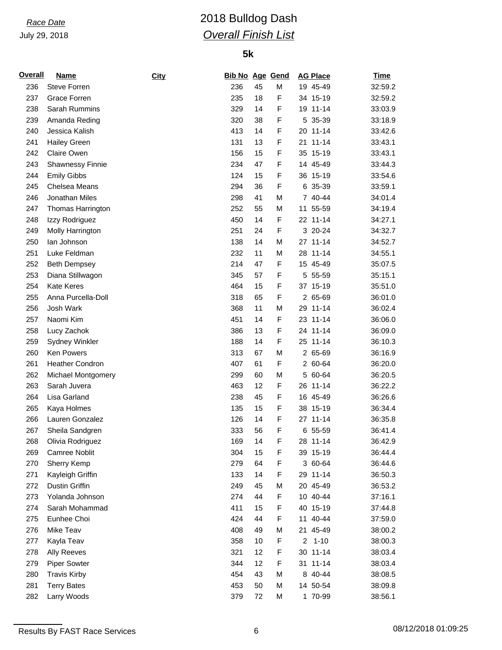# *Race Date* 2018 Bulldog Dash *Overall Finish List*

| <b>Overall</b> | <b>Name</b>             | City | <b>Bib No Age Gend</b> |    |   | <b>AG Place</b>            | <b>Time</b> |
|----------------|-------------------------|------|------------------------|----|---|----------------------------|-------------|
| 236            | <b>Steve Forren</b>     |      | 236                    | 45 | M | 19 45-49                   | 32:59.2     |
| 237            | Grace Forren            |      | 235                    | 18 | F | 34 15-19                   | 32:59.2     |
| 238            | Sarah Rummins           |      | 329                    | 14 | F | 19 11-14                   | 33:03.9     |
| 239            | Amanda Reding           |      | 320                    | 38 | F | 5 35-39                    | 33:18.9     |
| 240            | Jessica Kalish          |      | 413                    | 14 | F | 20 11-14                   | 33:42.6     |
| 241            | Hailey Green            |      | 131                    | 13 | F | $11 - 14$<br>21            | 33:43.1     |
| 242            | Claire Owen             |      | 156                    | 15 | F | 35 15-19                   | 33:43.1     |
| 243            | <b>Shawnessy Finnie</b> |      | 234                    | 47 | F | 14 45-49                   | 33:44.3     |
| 244            | <b>Emily Gibbs</b>      |      | 124                    | 15 | F | 36 15-19                   | 33:54.6     |
| 245            | Chelsea Means           |      | 294                    | 36 | F | 6 35-39                    | 33:59.1     |
| 246            | Jonathan Miles          |      | 298                    | 41 | M | 7 40-44                    | 34:01.4     |
| 247            | Thomas Harrington       |      | 252                    | 55 | M | 55-59<br>11                | 34:19.4     |
| 248            | Izzy Rodriguez          |      | 450                    | 14 | F | 22 11-14                   | 34:27.1     |
| 249            | Molly Harrington        |      | 251                    | 24 | F | 3 20-24                    | 34:32.7     |
| 250            | lan Johnson             |      | 138                    | 14 | M | 27 11-14                   | 34:52.7     |
| 251            | Luke Feldman            |      | 232                    | 11 | M | 28 11-14                   | 34:55.1     |
| 252            | <b>Beth Dempsey</b>     |      | 214                    | 47 | F | 15 45-49                   | 35:07.5     |
| 253            | Diana Stillwagon        |      | 345                    | 57 | F | 5 55-59                    | 35:15.1     |
| 254            | <b>Kate Keres</b>       |      | 464                    | 15 | F | 37 15-19                   | 35:51.0     |
| 255            | Anna Purcella-Doll      |      | 318                    | 65 | F | 2 65-69                    | 36:01.0     |
| 256            | Josh Wark               |      | 368                    | 11 | M | 29 11-14                   | 36:02.4     |
| 257            | Naomi Kim               |      | 451                    | 14 | F | 23 11-14                   | 36:06.0     |
| 258            | Lucy Zachok             |      | 386                    | 13 | F | 24 11-14                   | 36:09.0     |
| 259            | <b>Sydney Winkler</b>   |      | 188                    | 14 | F | 25 11-14                   | 36:10.3     |
| 260            | Ken Powers              |      | 313                    | 67 | M | 2 65-69                    | 36:16.9     |
| 261            | <b>Heather Condron</b>  |      | 407                    | 61 | F | 2 60-64                    | 36:20.0     |
| 262            | Michael Montgomery      |      | 299                    | 60 | M | 5 60-64                    | 36:20.5     |
| 263            | Sarah Juvera            |      | 463                    | 12 | F | 26 11-14                   | 36:22.2     |
| 264            | Lisa Garland            |      | 238                    | 45 | F | 16 45-49                   | 36:26.6     |
| 265            | Kaya Holmes             |      | 135                    | 15 | F | 38 15-19                   | 36:34.4     |
| 266            | Lauren Gonzalez         |      | 126                    | 14 | F | 27 11-14                   | 36:35.8     |
| 267            | Sheila Sandgren         |      | 333                    | 56 | F | 6 55-59                    | 36:41.4     |
| 268            | Olivia Rodriguez        |      | 169                    | 14 | F | 28 11-14                   | 36:42.9     |
| 269            | <b>Camree Noblit</b>    |      | 304                    | 15 | F | 39 15-19                   | 36:44.4     |
| 270            | Sherry Kemp             |      | 279                    | 64 | F | 3 60-64                    | 36:44.6     |
| 271            | Kayleigh Griffin        |      | 133                    | 14 | F | 29 11-14                   | 36:50.3     |
| 272            | Dustin Griffin          |      | 249                    | 45 | M | 20 45-49                   | 36:53.2     |
| 273            | Yolanda Johnson         |      | 274                    | 44 | F | 10 40-44                   | 37:16.1     |
| 274            | Sarah Mohammad          |      | 411                    | 15 | F | 40 15-19                   | 37:44.8     |
| 275            | Eunhee Choi             |      | 424                    | 44 | F | 11 40-44                   | 37:59.0     |
| 276            | Mike Teav               |      | 408                    | 49 | M | 21 45-49                   | 38:00.2     |
| 277            | Kayla Teav              |      | 358                    | 10 | F | $\overline{c}$<br>$1 - 10$ | 38:00.3     |
| 278            | Ally Reeves             |      | 321                    | 12 | F | 30 11-14                   | 38:03.4     |
| 279            | <b>Piper Sowter</b>     |      | 344                    | 12 | F | 31 11-14                   | 38:03.4     |
| 280            | <b>Travis Kirby</b>     |      | 454                    | 43 | M | 8 40-44                    | 38:08.5     |
| 281            | <b>Terry Bates</b>      |      | 453                    | 50 | M | 14 50-54                   | 38:09.8     |
| 282            | Larry Woods             |      | 379                    | 72 | M | 1 70-99                    | 38:56.1     |
|                |                         |      |                        |    |   |                            |             |